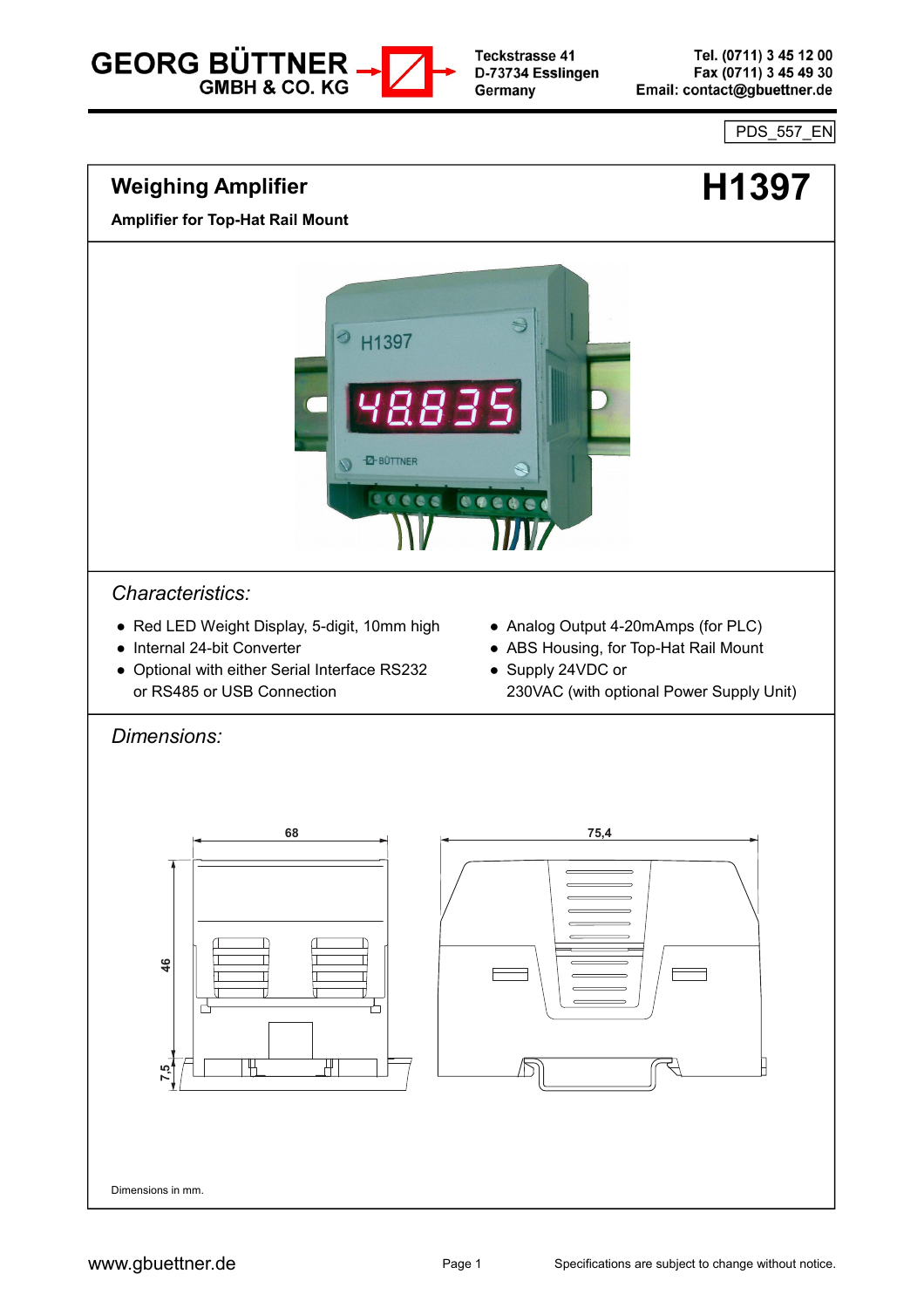

Tel. (0711) 3 45 12 00 Fax (0711) 3 45 49 30 Email: contact@gbuettner.de

**PDS** 557 EN



Dimensions in mm.